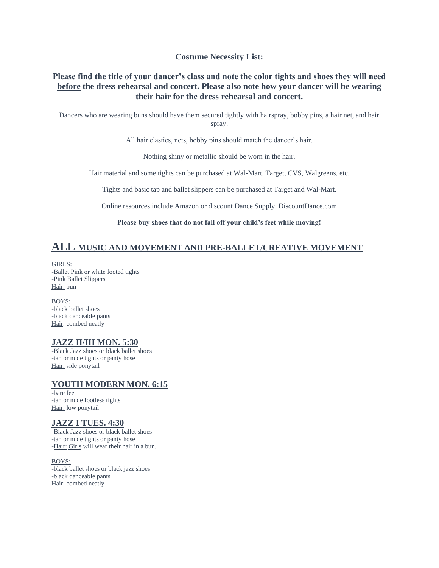#### **Costume Necessity List:**

#### **Please find the title of your dancer's class and note the color tights and shoes they will need before the dress rehearsal and concert. Please also note how your dancer will be wearing their hair for the dress rehearsal and concert.**

Dancers who are wearing buns should have them secured tightly with hairspray, bobby pins, a hair net, and hair spray.

All hair elastics, nets, bobby pins should match the dancer's hair.

Nothing shiny or metallic should be worn in the hair.

Hair material and some tights can be purchased at Wal-Mart, Target, CVS, Walgreens, etc.

Tights and basic tap and ballet slippers can be purchased at Target and Wal-Mart.

Online resources include Amazon or discount Dance Supply. DiscountDance.com

**Please buy shoes that do not fall off your child's feet while moving!**

## **ALL MUSIC AND MOVEMENT AND PRE-BALLET/CREATIVE MOVEMENT**

GIRLS: -Ballet Pink or white footed tights -Pink Ballet Slippers Hair: bun

BOYS: -black ballet shoes -black danceable pants Hair: combed neatly

#### **JAZZ II/III MON. 5:30**

-Black Jazz shoes or black ballet shoes -tan or nude tights or panty hose Hair: side ponytail

#### **YOUTH MODERN MON. 6:15**

-bare feet -tan or nude footless tights Hair: low ponytail

#### **JAZZ I TUES. 4:30**

-Black Jazz shoes or black ballet shoes -tan or nude tights or panty hose -Hair: Girls will wear their hair in a bun.

BOYS: -black ballet shoes or black jazz shoes -black danceable pants Hair: combed neatly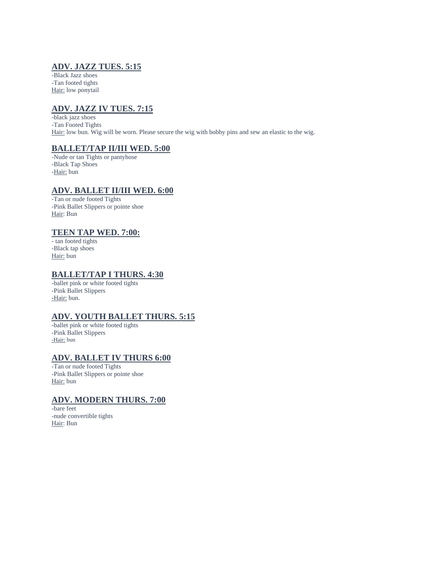## **ADV. JAZZ TUES. 5:15**

-Black Jazz shoes -Tan footed tights Hair: low ponytail

# **ADV. JAZZ IV TUES. 7:15**

-black jazz shoes -Tan Footed Tights Hair: low bun. Wig will be worn. Please secure the wig with bobby pins and sew an elastic to the wig.

### **BALLET/TAP II/III WED. 5:00**

-Nude or tan Tights or pantyhose -Black Tap Shoes -Hair: bun

#### **ADV. BALLET II/III WED. 6:00**

-Tan or nude footed Tights -Pink Ballet Slippers or pointe shoe Hair: Bun

#### **TEEN TAP WED. 7:00:**

- tan footed tights -Black tap shoes Hair: bun

#### **BALLET/TAP I THURS. 4:30**

-ballet pink or white footed tights -Pink Ballet Slippers **-**Hair: bun.

#### **ADV. YOUTH BALLET THURS. 5:15**

-ballet pink or white footed tights -Pink Ballet Slippers -Hair: bun

#### **ADV. BALLET IV THURS 6:00**

-Tan or nude footed Tights -Pink Ballet Slippers or pointe shoe Hair: bun

#### **ADV. MODERN THURS. 7:00**

-bare feet -nude convertible tights Hair: Bun